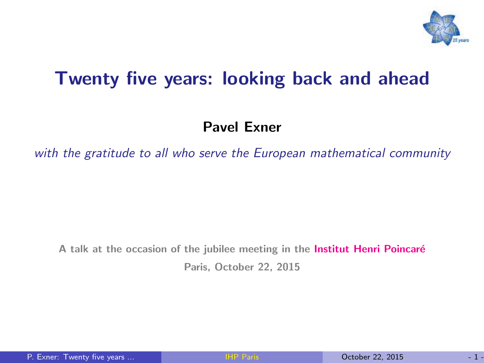

#### Twenty five years: looking back and ahead

#### Pavel Exner

with the gratitude to all who serve the European mathematical community

A talk at the occasion of the jubilee meeting in the Institut Henri Poincaré Paris, October 22, 2015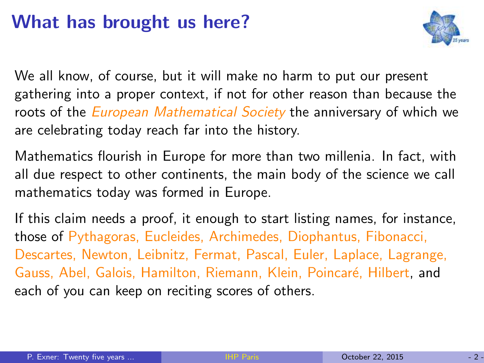#### What has brought us here?



We all know, of course, but it will make no harm to put our present gathering into a proper context, if not for other reason than because the roots of the *European Mathematical Society* the anniversary of which we are celebrating today reach far into the history.

Mathematics flourish in Europe for more than two millenia. In fact, with all due respect to other continents, the main body of the science we call mathematics today was formed in Europe.

If this claim needs a proof, it enough to start listing names, for instance, those of Pythagoras, Eucleides, Archimedes, Diophantus, Fibonacci, Descartes, Newton, Leibnitz, Fermat, Pascal, Euler, Laplace, Lagrange, Gauss, Abel, Galois, Hamilton, Riemann, Klein, Poincaré, Hilbert, and each of you can keep on reciting scores of others.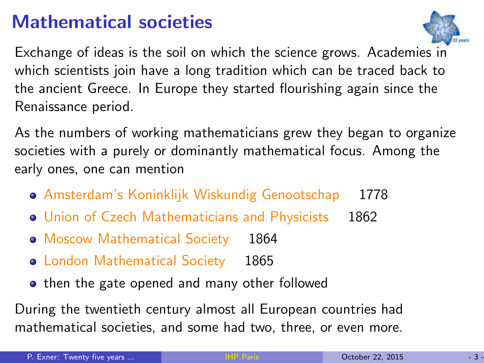### Mathematical societies



Exchange of ideas is the soil on which the science grows. Academies in which scientists join have a long tradition which can be traced back to the ancient Greece. In Europe they started flourishing again since the Renaissance period.

As the numbers of working mathematicians grew they began to organize societies with a purely or dominantly mathematical focus. Among the early ones, one can mention

- Amsterdam's Koninklijk Wiskundig Genootschap 1778
- Union of Czech Mathematicians and Physicists 1862
- Moscow Mathematical Society 1864
- London Mathematical Society 1865
- then the gate opened and many other followed

During the twentieth century almost all European countries had mathematical societies, and some had two, three, or even more.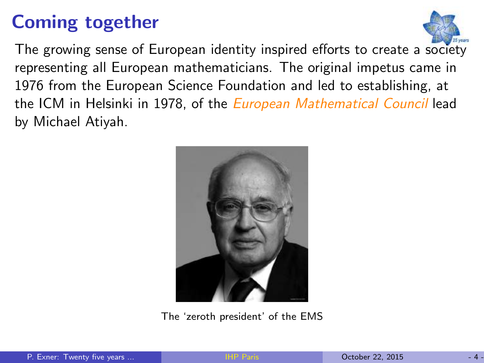## Coming together



The growing sense of European identity inspired efforts to create a society representing all European mathematicians. The original impetus came in 1976 from the European Science Foundation and led to establishing, at the ICM in Helsinki in 1978, of the *European Mathematical Council* lead by Michael Atiyah.



The 'zeroth president' of the EMS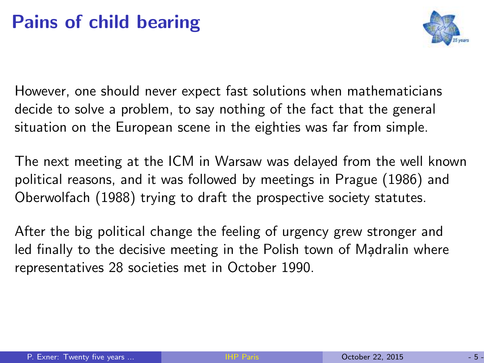## Pains of child bearing



However, one should never expect fast solutions when mathematicians decide to solve a problem, to say nothing of the fact that the general situation on the European scene in the eighties was far from simple.

The next meeting at the ICM in Warsaw was delayed from the well known political reasons, and it was followed by meetings in Prague (1986) and Oberwolfach (1988) trying to draft the prospective society statutes.

After the big political change the feeling of urgency grew stronger and led finally to the decisive meeting in the Polish town of Madralin where representatives 28 societies met in October 1990.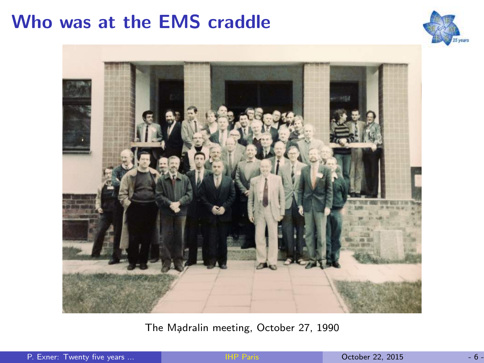#### Who was at the EMS craddle





The Madralin meeting, October 27, 1990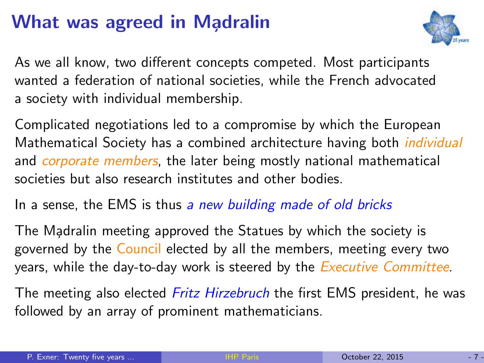## What was agreed in Madralin



As we all know, two different concepts competed. Most participants wanted a federation of national societies, while the French advocated a society with individual membership.

Complicated negotiations led to a compromise by which the European Mathematical Society has a combined architecture having both individual and *corporate members*, the later being mostly national mathematical societies but also research institutes and other bodies.

In a sense, the EMS is thus a new building made of old bricks

The Madralin meeting approved the Statues by which the society is governed by the Council elected by all the members, meeting every two years, while the day-to-day work is steered by the *Executive Committee*.

The meeting also elected *Fritz Hirzebruch* the first EMS president, he was followed by an array of prominent mathematicians.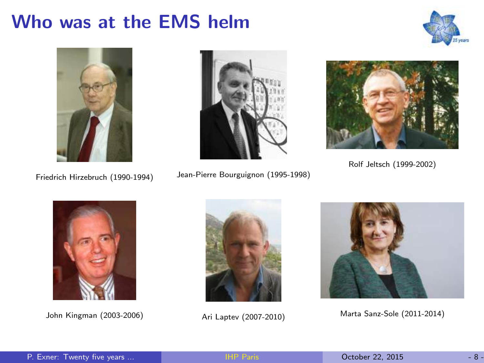#### Who was at the EMS helm







Friedrich Hirzebruch (1990-1994) Jean-Pierre Bourguignon (1995-1998)



Rolf Jeltsch (1999-2002)







John Kingman (2003-2006) Ari Laptev (2007-2010) Marta Sanz-Sole (2011-2014)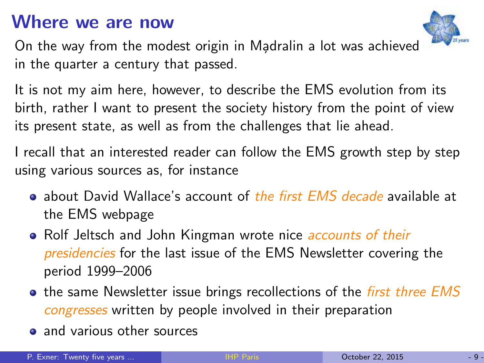#### Where we are now



On the way from the modest origin in Madralin a lot was achieved in the quarter a century that passed.

It is not my aim here, however, to describe the EMS evolution from its birth, rather I want to present the society history from the point of view its present state, as well as from the challenges that lie ahead.

I recall that an interested reader can follow the EMS growth step by step using various sources as, for instance

- about David Wallace's account of the first EMS decade available at the EMS webpage
- Rolf Jeltsch and John Kingman wrote nice *accounts of their* presidencies for the last issue of the EMS Newsletter covering the period 1999–2006
- the same Newsletter issue brings recollections of the *first three EMS* congresses written by people involved in their preparation
- **a** and various other sources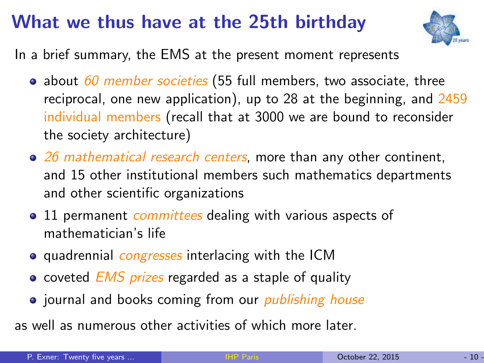#### What we thus have at the 25th birthday



In a brief summary, the EMS at the present moment represents

- about  $60$  member societies (55 full members, two associate, three reciprocal, one new application), up to 28 at the beginning, and 2459 individual members (recall that at 3000 we are bound to reconsider the society architecture)
- $\bullet$  26 mathematical research centers, more than any other continent, and 15 other institutional members such mathematics departments and other scientific organizations
- 11 permanent *committees* dealing with various aspects of mathematician's life
- **•** quadrennial *congresses* interlacing with the ICM
- coveted  $EMS$  prizes regarded as a staple of quality
- journal and books coming from our *publishing house*

as well as numerous other activities of which more later.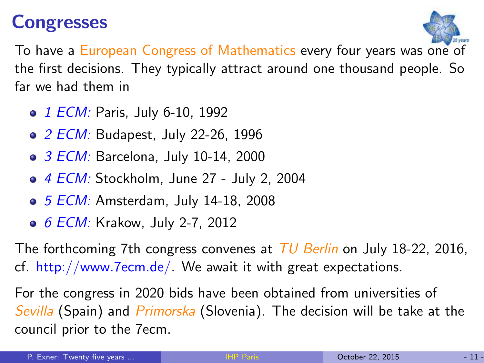#### **Congresses**



To have a European Congress of Mathematics every four years was one of the first decisions. They typically attract around one thousand people. So far we had them in

- 1 ECM: Paris, July 6-10, 1992
- 2 ECM: Budapest, July 22-26, 1996
- 3 ECM: Barcelona, July 10-14, 2000
- 4 ECM: Stockholm, June 27 July 2, 2004
- 5 ECM: Amsterdam, July 14-18, 2008
- 6 ECM: Krakow, July 2-7, 2012

The forthcoming 7th congress convenes at TU Berlin on July 18-22, 2016, cf. http://www.7ecm.de/. We await it with great expectations.

For the congress in 2020 bids have been obtained from universities of Sevilla (Spain) and Primorska (Slovenia). The decision will be take at the council prior to the 7ecm.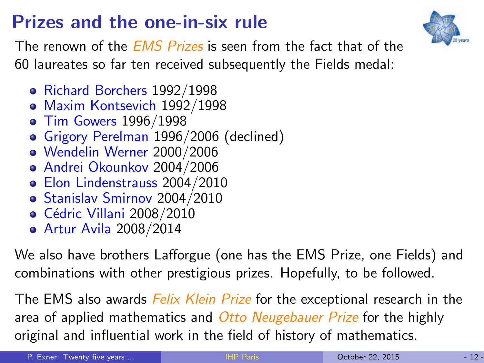## Prizes and the one-in-six rule



The renown of the *EMS Prizes* is seen from the fact that of the 60 laureates so far ten received subsequently the Fields medal:

- Richard Borchers 1992/1998
- Maxim Kontsevich 1992/1998
- Tim Gowers 1996/1998
- Grigory Perelman 1996/2006 (declined)
- Wendelin Werner 2000/2006
- Andrei Okounkov 2004/2006
- Elon Lindenstrauss 2004/2010
- Stanislav Smirnov 2004/2010
- o Cédric Villani 2008/2010
- Artur Avila 2008/2014

We also have brothers Lafforgue (one has the EMS Prize, one Fields) and combinations with other prestigious prizes. Hopefully, to be followed.

The EMS also awards *Felix Klein Prize* for the exceptional research in the area of applied mathematics and *Otto Neugebauer Prize* for the highly original and influential work in the field of history of mathematics.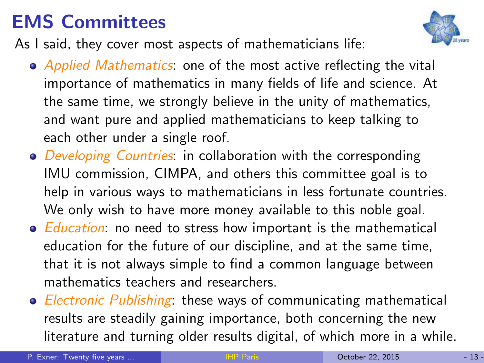## EMS Committees

As I said, they cover most aspects of mathematicians life:

- Applied Mathematics: one of the most active reflecting the vital importance of mathematics in many fields of life and science. At the same time, we strongly believe in the unity of mathematics, and want pure and applied mathematicians to keep talking to each other under a single roof.
- Developing Countries: in collaboration with the corresponding IMU commission, CIMPA, and others this committee goal is to help in various ways to mathematicians in less fortunate countries. We only wish to have more money available to this noble goal.
- *Education*: no need to stress how important is the mathematical education for the future of our discipline, and at the same time, that it is not always simple to find a common language between mathematics teachers and researchers.
- Electronic Publishing: these ways of communicating mathematical results are steadily gaining importance, both concerning the new literature and turning older results digital, of which more in a while.

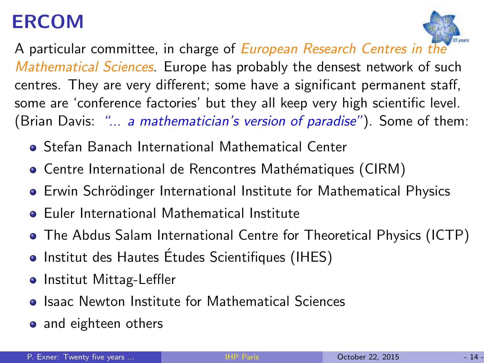## ERCOM



A particular committee, in charge of *European Research Centres in the* Mathematical Sciences. Europe has probably the densest network of such centres. They are very different; some have a significant permanent staff, some are 'conference factories' but they all keep very high scientific level. (Brian Davis: *"... a mathematician's version of paradise"*). Some of them:

- Stefan Banach International Mathematical Center
- Centre International de Rencontres Mathématiques (CIRM)
- Erwin Schrödinger International Institute for Mathematical Physics
- Euler International Mathematical Institute
- The Abdus Salam International Centre for Theoretical Physics (ICTP)
- Institut des Hautes Études Scientifiques (IHES)
- **o** Institut Mittag-Leffler
- **Isaac Newton Institute for Mathematical Sciences**
- and eighteen others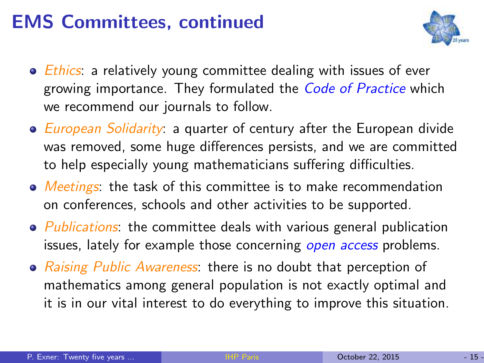### EMS Committees, continued



- *Ethics*: a relatively young committee dealing with issues of ever growing importance. They formulated the *Code of Practice* which we recommend our journals to follow.
- European Solidarity: a quarter of century after the European divide was removed, some huge differences persists, and we are committed to help especially young mathematicians suffering difficulties.
- Meetings: the task of this committee is to make recommendation on conferences, schools and other activities to be supported.
- Publications: the committee deals with various general publication issues, lately for example those concerning open access problems.
- Raising Public Awareness: there is no doubt that perception of mathematics among general population is not exactly optimal and it is in our vital interest to do everything to improve this situation.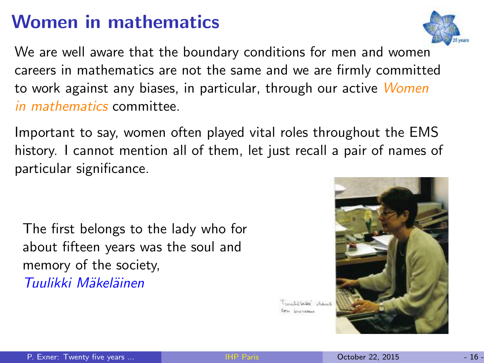#### Women in mathematics

We are well aware that the boundary conditions for men and women careers in mathematics are not the same and we are firmly committed to work against any biases, in particular, through our active Women in mathematics committee.

Important to say, women often played vital roles throughout the EMS history. I cannot mention all of them, let just recall a pair of names of particular significance.

The first belongs to the lady who for about fifteen years was the soul and memory of the society, Tuulikki Mäkeläinen



Timbricks' dank in business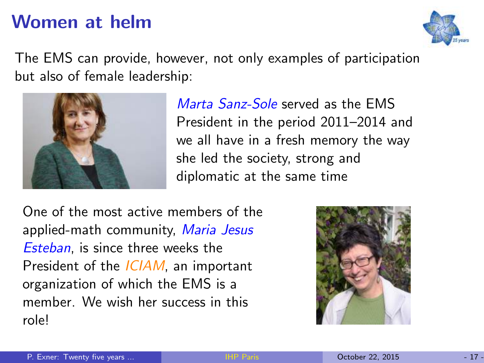#### Women at helm



The EMS can provide, however, not only examples of participation but also of female leadership:



Marta Sanz-Sole served as the EMS President in the period 2011–2014 and we all have in a fresh memory the way she led the society, strong and diplomatic at the same time

One of the most active members of the applied-math community, Maria Jesus Esteban, is since three weeks the President of the *ICIAM*, an important organization of which the EMS is a member. We wish her success in this role!

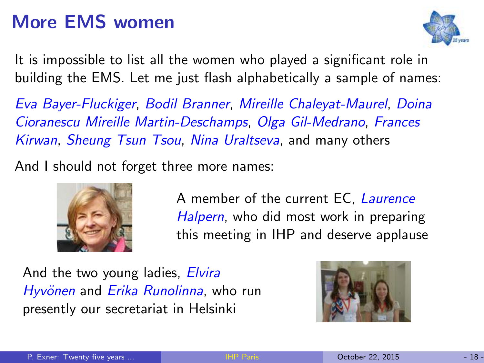## More EMS women



It is impossible to list all the women who played a significant role in building the EMS. Let me just flash alphabetically a sample of names:

Eva Bayer-Fluckiger, Bodil Branner, Mireille Chaleyat-Maurel, Doina Cioranescu Mireille Martin-Deschamps, Olga Gil-Medrano, Frances Kirwan, Sheung Tsun Tsou, Nina Uraltseva, and many others

And I should not forget three more names:



A member of the current EC, Laurence Halpern, who did most work in preparing this meeting in IHP and deserve applause

And the two young ladies, Elvira Hyvönen and Erika Runolinna, who run presently our secretariat in Helsinki

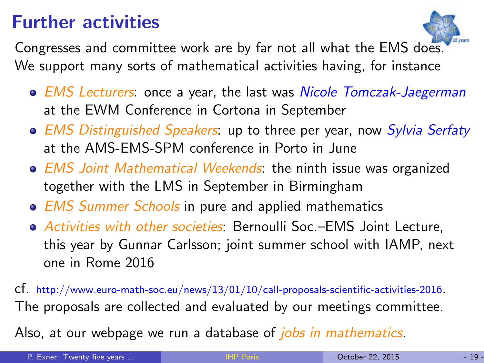### Further activities



Congresses and committee work are by far not all what the EMS does. We support many sorts of mathematical activities having, for instance

- EMS Lecturers: once a year, the last was Nicole Tomczak-Jaegerman at the EWM Conference in Cortona in September
- EMS Distinguished Speakers: up to three per year, now Sylvia Serfaty at the AMS-EMS-SPM conference in Porto in June
- EMS Joint Mathematical Weekends: the ninth issue was organized together with the LMS in September in Birmingham
- EMS Summer Schools in pure and applied mathematics
- Activities with other societies: Bernoulli Soc.–EMS Joint Lecture, this year by Gunnar Carlsson; joint summer school with IAMP, next one in Rome 2016

cf. http://www.euro-math-soc.eu/news/13/01/10/call-proposals-scientific-activities-2016. The proposals are collected and evaluated by our meetings committee.

Also, at our webpage we run a database of *jobs in mathematics*.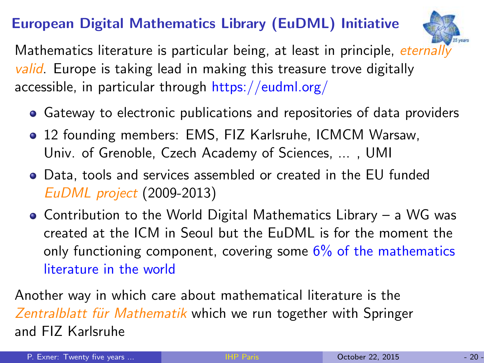#### European Digital Mathematics Library (EuDML) Initiative



Mathematics literature is particular being, at least in principle, eternally valid. Europe is taking lead in making this treasure trove digitally accessible, in particular through https://eudml.org/

- Gateway to electronic publications and repositories of data providers
- 12 founding members: EMS, FIZ Karlsruhe, ICMCM Warsaw, Univ. of Grenoble, Czech Academy of Sciences, ... , UMI
- Data, tools and services assembled or created in the EU funded EuDML project (2009-2013)
- Contribution to the World Digital Mathematics Library a WG was created at the ICM in Seoul but the EuDML is for the moment the only functioning component, covering some  $6\%$  of the mathematics literature in the world

Another way in which care about mathematical literature is the Zentralblatt für Mathematik which we run together with Springer and FIZ Karlsruhe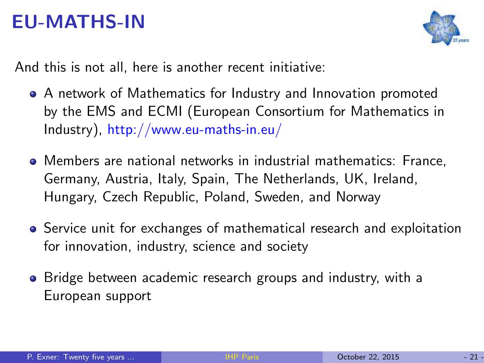#### EU-MATHS-IN



And this is not all, here is another recent initiative:

- A network of Mathematics for Industry and Innovation promoted by the EMS and ECMI (European Consortium for Mathematics in Industry), http://www.eu-maths-in.eu/
- Members are national networks in industrial mathematics: France, Germany, Austria, Italy, Spain, The Netherlands, UK, Ireland, Hungary, Czech Republic, Poland, Sweden, and Norway
- Service unit for exchanges of mathematical research and exploitation for innovation, industry, science and society
- Bridge between academic research groups and industry, with a European support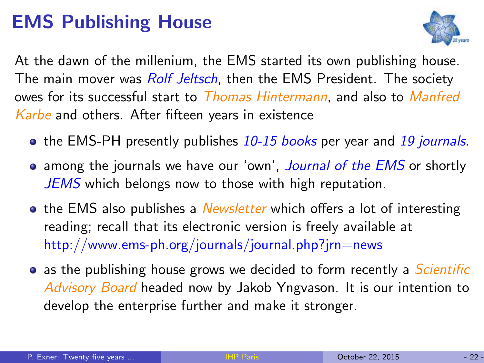## EMS Publishing House



At the dawn of the millenium, the EMS started its own publishing house. The main mover was *Rolf Jeltsch*, then the EMS President. The society owes for its successful start to Thomas Hintermann, and also to Manfred Karbe and others. After fifteen years in existence

- the EMS-PH presently publishes 10-15 books per year and 19 journals.
- among the journals we have our 'own', *Journal of the EMS* or shortly JEMS which belongs now to those with high reputation.
- the EMS also publishes a *Newsletter* which offers a lot of interesting reading; recall that its electronic version is freely available at http://www.ems-ph.org/journals/journal.php?jrn=news
- as the publishing house grows we decided to form recently a *Scientific* Advisory Board headed now by Jakob Yngvason. It is our intention to develop the enterprise further and make it stronger.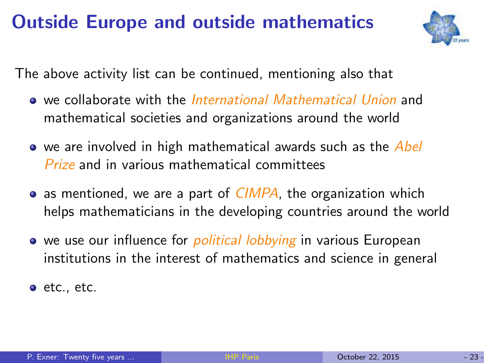## Outside Europe and outside mathematics



The above activity list can be continued, mentioning also that

- we collaborate with the *International Mathematical Union* and mathematical societies and organizations around the world
- we are involved in high mathematical awards such as the Abel Prize and in various mathematical committees
- $\bullet$  as mentioned, we are a part of *CIMPA*, the organization which helps mathematicians in the developing countries around the world
- we use our influence for *political lobbying* in various European institutions in the interest of mathematics and science in general

 $\bullet$  etc., etc.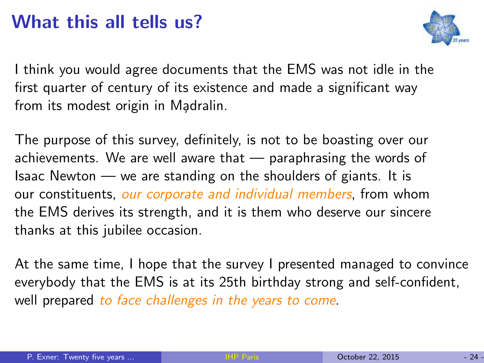#### What this all tells us?



I think you would agree documents that the EMS was not idle in the first quarter of century of its existence and made a significant way from its modest origin in Madralin.

The purpose of this survey, definitely, is not to be boasting over our achievements. We are well aware that — paraphrasing the words of Isaac Newton — we are standing on the shoulders of giants. It is our constituents, our corporate and individual members, from whom the EMS derives its strength, and it is them who deserve our sincere thanks at this jubilee occasion.

At the same time, I hope that the survey I presented managed to convince everybody that the EMS is at its 25th birthday strong and self-confident, well prepared to face challenges in the years to come.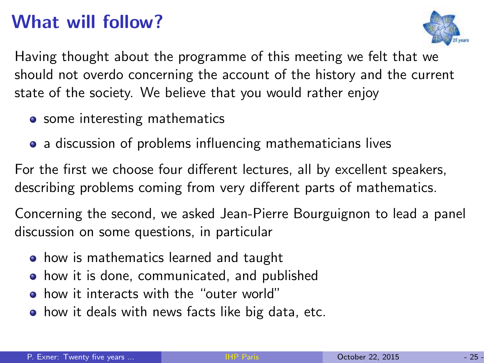## What will follow?



Having thought about the programme of this meeting we felt that we should not overdo concerning the account of the history and the current state of the society. We believe that you would rather enjoy

- some interesting mathematics
- a discussion of problems influencing mathematicians lives

For the first we choose four different lectures, all by excellent speakers, describing problems coming from very different parts of mathematics.

Concerning the second, we asked Jean-Pierre Bourguignon to lead a panel discussion on some questions, in particular

- **•** how is mathematics learned and taught
- how it is done, communicated, and published
- how it interacts with the "outer world"
- **•** how it deals with news facts like big data, etc.